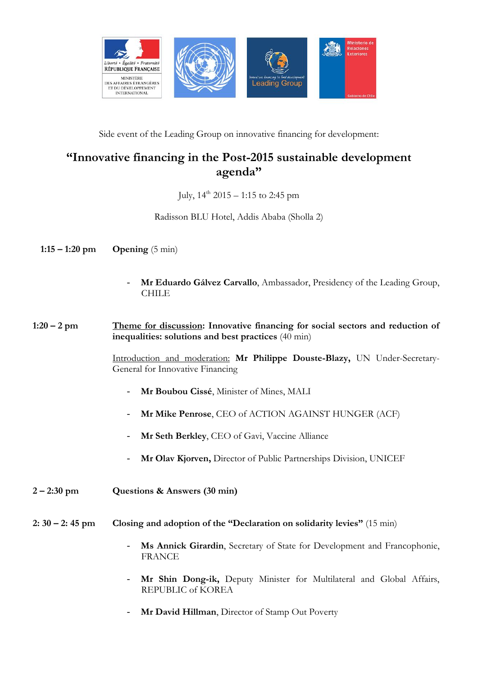

Side event of the Leading Group on innovative financing for development:

# **"Innovative financing in the Post-2015 sustainable development agenda"**

July,  $14^{th}$  2015 – 1:15 to 2:45 pm

Radisson BLU Hotel, Addis Ababa (Sholla 2)

**1:15 – 1:20 pm Opening** (5 min)

- **Mr Eduardo Gálvez Carvallo**, Ambassador, Presidency of the Leading Group, CHILE
- **1:20 – 2 pm Theme for discussion: Innovative financing for social sectors and reduction of inequalities: solutions and best practices** (40 min)

Introduction and moderation: **Mr Philippe Douste-Blazy,** UN Under-Secretary-General for Innovative Financing

- **Mr Boubou Cissé**, Minister of Mines, MALI
- Mr Mike Penrose, CEO of ACTION AGAINST HUNGER (ACF)
- Mr Seth Berkley, CEO of Gavi, Vaccine Alliance
- **Mr Olav Kjorven,** Director of Public Partnerships Division, UNICEF
- **2 – 2:30 pm Questions & Answers (30 min)**
- **2: 30 – 2: 45 pm Closing and adoption of the "Declaration on solidarity levies"** (15 min)
	- Ms Annick Girardin, Secretary of State for Development and Francophonie, FRANCE
	- Mr Shin Dong-ik, Deputy Minister for Multilateral and Global Affairs, REPUBLIC of KOREA
	- Mr David Hillman, Director of Stamp Out Poverty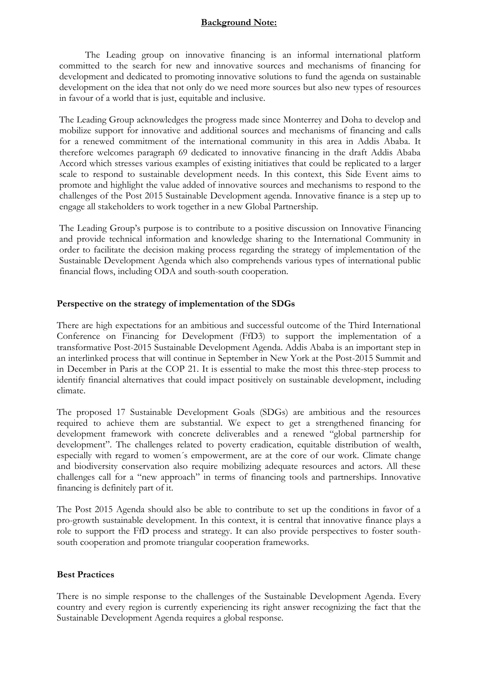#### **Background Note:**

The Leading group on innovative financing is an informal international platform committed to the search for new and innovative sources and mechanisms of financing for development and dedicated to promoting innovative solutions to fund the agenda on sustainable development on the idea that not only do we need more sources but also new types of resources in favour of a world that is just, equitable and inclusive.

The Leading Group acknowledges the progress made since Monterrey and Doha to develop and mobilize support for innovative and additional sources and mechanisms of financing and calls for a renewed commitment of the international community in this area in Addis Ababa. It therefore welcomes paragraph 69 dedicated to innovative financing in the draft Addis Ababa Accord which stresses various examples of existing initiatives that could be replicated to a larger scale to respond to sustainable development needs. In this context, this Side Event aims to promote and highlight the value added of innovative sources and mechanisms to respond to the challenges of the Post 2015 Sustainable Development agenda. Innovative finance is a step up to engage all stakeholders to work together in a new Global Partnership.

The Leading Group's purpose is to contribute to a positive discussion on Innovative Financing and provide technical information and knowledge sharing to the International Community in order to facilitate the decision making process regarding the strategy of implementation of the Sustainable Development Agenda which also comprehends various types of international public financial flows, including ODA and south-south cooperation.

## **Perspective on the strategy of implementation of the SDGs**

There are high expectations for an ambitious and successful outcome of the Third International Conference on Financing for Development (FfD3) to support the implementation of a transformative Post-2015 Sustainable Development Agenda. Addis Ababa is an important step in an interlinked process that will continue in September in New York at the Post-2015 Summit and in December in Paris at the COP 21. It is essential to make the most this three-step process to identify financial alternatives that could impact positively on sustainable development, including climate.

The proposed 17 Sustainable Development Goals (SDGs) are ambitious and the resources required to achieve them are substantial. We expect to get a strengthened financing for development framework with concrete deliverables and a renewed "global partnership for development". The challenges related to poverty eradication, equitable distribution of wealth, especially with regard to women´s empowerment, are at the core of our work. Climate change and biodiversity conservation also require mobilizing adequate resources and actors. All these challenges call for a "new approach" in terms of financing tools and partnerships. Innovative financing is definitely part of it.

The Post 2015 Agenda should also be able to contribute to set up the conditions in favor of a pro-growth sustainable development. In this context, it is central that innovative finance plays a role to support the FfD process and strategy. It can also provide perspectives to foster southsouth cooperation and promote triangular cooperation frameworks.

#### **Best Practices**

There is no simple response to the challenges of the Sustainable Development Agenda. Every country and every region is currently experiencing its right answer recognizing the fact that the Sustainable Development Agenda requires a global response.